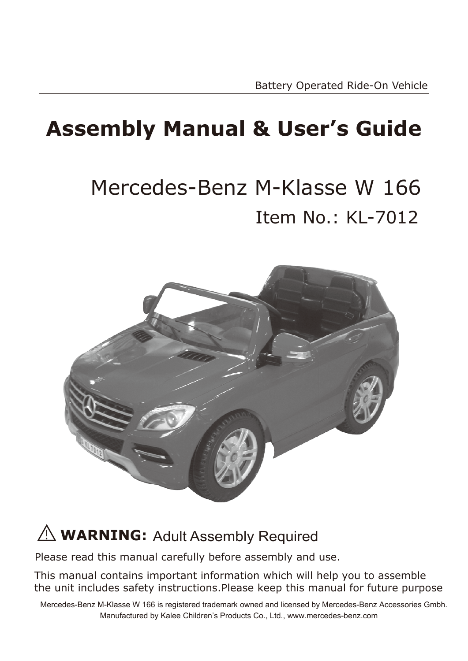### **Assembly Manual & User's Guide**

### Item No.: KL-7012 Mercedes-Benz M-Klasse W 166



#### $\angle$ <sup>1</sup> **WARNING:** Adult Assembly Required

Please read this manual carefully before assembly and use.

This manual contains important information which will help you to assemble the unit includes safety instructions.Please keep this manual for future purpose

Mercedes-Benz M-Klasse W 166 is registered trademark owned and licensed by Mercedes-Benz Accessories Gmbh. Manufactured by Kalee Children's Products Co., Ltd., www.mercedes-benz.com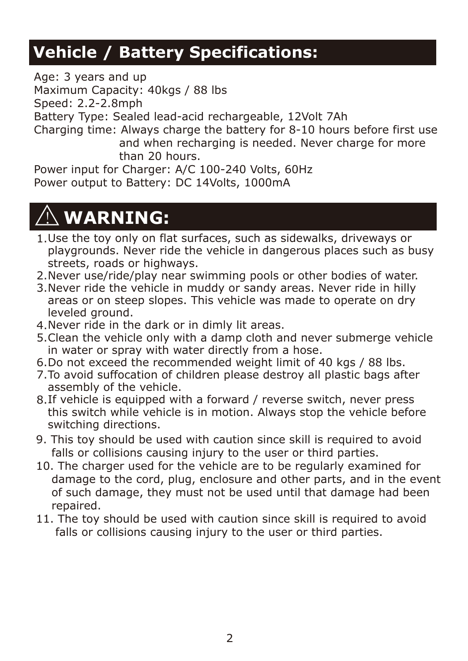#### **Vehicle / Battery Specifications:**

Age: 3 years and up Maximum Capacity: 40kgs / 88 lbs Speed: 2.2-2.8mph

Battery Type: Sealed lead-acid rechargeable, 12Volt 7Ah

Charging time: Always charge the battery for 8-10 hours before first use and when recharging is needed. Never charge for more than 20 hours.

Power input for Charger: A/C 100-240 Volts, 60Hz Power output to Battery: DC 14Volts, 1000mA

### **WARNING:**

- 1. Use the toy only on flat surfaces, such as sidewalks, driveways or playgrounds. Never ride the vehicle in dangerous places such as busy streets, roads or highways.
- 2. Never use/ride/play near swimming pools or other bodies of water.
- Never ride the vehicle in muddy or sandy areas. Never ride in hilly 3. areas or on steep slopes. This vehicle was made to operate on dry leveled ground.
- Never ride in the dark or in dimly lit areas. 4.
- Clean the vehicle only with a damp cloth and never submerge vehicle 5. in water or spray with water directly from a hose.
- 6. Do not exceed the recommended weight limit of 40 kgs / 88 lbs.
- 7. To avoid suffocation of children please destroy all plastic bags after assembly of the vehicle.
- 8.If vehicle is equipped with a forward / reverse switch, never press this switch while vehicle is in motion. Always stop the vehicle before switching directions.
- 9. This toy should be used with caution since skill is required to avoid falls or collisions causing injury to the user or third parties.
- 10. The charger used for the vehicle are to be regularly examined for damage to the cord, plug, enclosure and other parts, and in the event of such damage, they must not be used until that damage had been repaired.
- 11. The toy should be used with caution since skill is required to avoid falls or collisions causing injury to the user or third parties.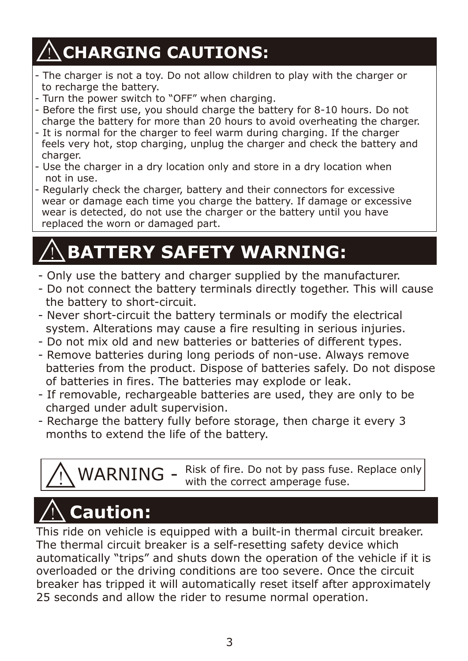### $\bigwedge^\prime$ CHARGING CAUTIONS:

- The charger is not a toy. Do not allow children to play with the charger or to recharge the battery.
- Turn the power switch to "OFF" when charging.
- Before the first use, you should charge the battery for 8-10 hours. Do not charge the battery for more than 20 hours to avoid overheating the charger.
- It is normal for the charger to feel warm during charging. If the charger feels very hot, stop charging, unplug the charger and check the battery and charger.
- Use the charger in a dry location only and store in a dry location when not in use.
- Regularly check the charger, battery and their connectors for excessive wear or damage each time you charge the battery. If damage or excessive wear is detected, do not use the charger or the battery until you have replaced the worn or damaged part.

### **BATTERY SAFETY WARNING:**

- Only use the battery and charger supplied by the manufacturer.
- Do not connect the battery terminals directly together. This will cause the battery to short-circuit.
- Never short-circuit the battery terminals or modify the electrical system. Alterations may cause a fire resulting in serious injuries.
- Do not mix old and new batteries or batteries of different types.
- Remove batteries during long periods of non-use. Always remove batteries from the product. Dispose of batteries safely. Do not dispose of batteries in fires. The batteries may explode or leak.
- If removable, rechargeable batteries are used, they are only to be charged under adult supervision.
- Recharge the battery fully before storage, then charge it every 3 months to extend the life of the battery.



## **Caution: Caution:**

This ride on vehicle is equipped with a built-in thermal circuit breaker. The thermal circuit breaker is a self-resetting safety device which automatically "trips" and shuts down the operation of the vehicle if it is overloaded or the driving conditions are too severe. Once the circuit breaker has tripped it will automatically reset itself after approximately 25 seconds and allow the rider to resume normal operation.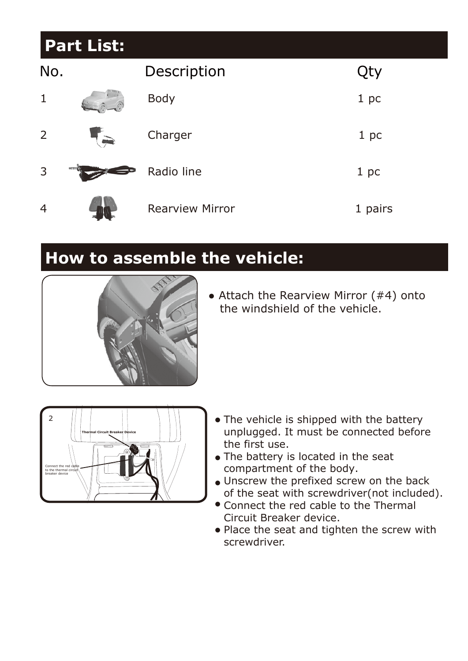#### **Part List:**

| No.            |       | Description            | Qty     |
|----------------|-------|------------------------|---------|
| $\mathbf{1}$   |       | Body                   | 1 pc    |
| $\overline{2}$ |       | Charger                | 1 pc    |
| 3              | $  8$ | Radio line             | 1 pc    |
| $\overline{4}$ |       | <b>Rearview Mirror</b> | 1 pairs |

#### **How to assemble the vehicle:**



 $\bullet$  Attach the Rearview Mirror (#4) onto the windshield of the vehicle.



- The vehicle is shipped with the battery unplugged. It must be connected before the first use.
- The battery is located in the seat compartment of the body.
- Unscrew the prefixed screw on the back of the seat with screwdriver(not included).
- Connect the red cable to the Thermal Circuit Breaker device.
- Place the seat and tighten the screw with screwdriver.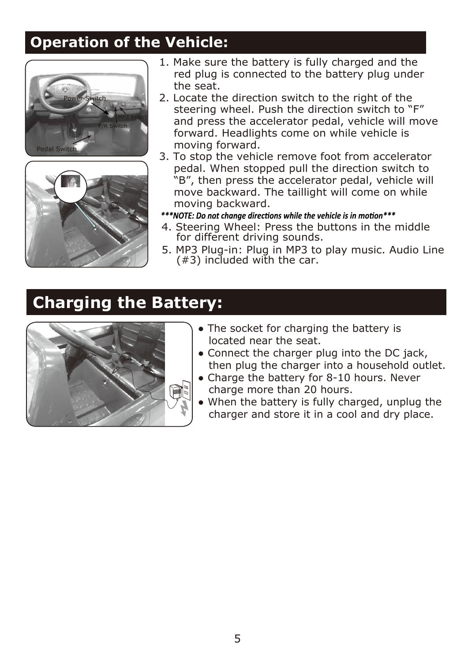#### **Operation of the Vehicle:**





- 1. Make sure the battery is fully charged and the red plug is connected to the battery plug under the seat.
- 2. Locate the direction switch to the right of the steering wheel. Push the direction switch to "F" and press the accelerator pedal, vehicle will move forward. Headlights come on while vehicle is moving forward.
- 3. To stop the vehicle remove foot from accelerator pedal. When stopped pull the direction switch to "B", then press the accelerator pedal, vehicle will move backward. The taillight will come on while moving backward.
- \*\*\*NOTE: Do not change directions while the vehicle is in motion\*\*\*
- 4. Steering Wheel: Press the buttons in the middle for different driving sounds.
- 5. MP3 Plug-in: Plug in MP3 to play music. Audio Line  $(43)$  included with the car.

#### **Charging the Battery:**



- The socket for charging the battery is located near the seat.
- Connect the charger plug into the DC jack, then plug the charger into a household outlet.
- Charge the battery for 8-10 hours. Never charge more than 20 hours.
- When the battery is fully charged, unplug the charger and store it in a cool and dry place.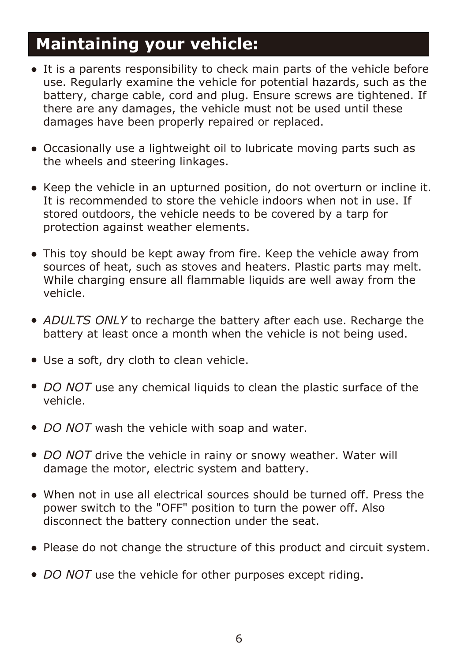#### **Maintaining your vehicle:**

- It is a parents responsibility to check main parts of the vehicle before use. Regularly examine the vehicle for potential hazards, such as the battery, charge cable, cord and plug. Ensure screws are tightened. If there are any damages, the vehicle must not be used until these damages have been properly repaired or replaced.
- Occasionally use a lightweight oil to lubricate moving parts such as the wheels and steering linkages.
- Keep the vehicle in an upturned position, do not overturn or incline it. It is recommended to store the vehicle indoors when not in use. If stored outdoors, the vehicle needs to be covered by a tarp for protection against weather elements.
- This toy should be kept away from fire. Keep the vehicle away from sources of heat, such as stoves and heaters. Plastic parts may melt. While charging ensure all flammable liquids are well away from the vehicle.
- ADULTS ONLY to recharge the battery after each use. Recharge the battery at least once a month when the vehicle is not being used.
- Use a soft, dry cloth to clean vehicle.
- *DO NOT* use any chemical liquids to clean the plastic surface of the vehicle.
- *DO NOT* wash the vehicle with soap and water.
- DO NOT drive the vehicle in rainy or snowy weather. Water will damage the motor, electric system and battery.
- When not in use all electrical sources should be turned off. Press the power switch to the "OFF" position to turn the power off. Also disconnect the battery connection under the seat.
- Please do not change the structure of this product and circuit system.
- *DO NOT* use the vehicle for other purposes except riding.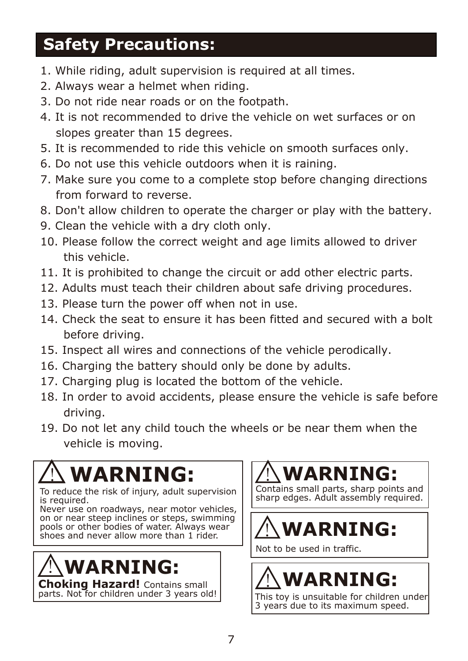#### **Safety Precautions:**

- 1. While riding, adult supervision is required at all times.
- 2. Always wear a helmet when riding.
- 3. Do not ride near roads or on the footpath.
- 4. It is not recommended to drive the vehicle on wet surfaces or on slopes greater than 15 degrees.
- 5. It is recommended to ride this vehicle on smooth surfaces only.
- 6. Do not use this vehicle outdoors when it is raining.
- 7. Make sure you come to a complete stop before changing directions from forward to reverse.
- 8. Don't allow children to operate the charger or play with the battery.
- 9. Clean the vehicle with a dry cloth only.
- 10. Please follow the correct weight and age limits allowed to driver this vehicle.
- 11. It is prohibited to change the circuit or add other electric parts.
- 12. Adults must teach their children about safe driving procedures.
- 13. Please turn the power off when not in use.
- 14. Check the seat to ensure it has been fitted and secured with a bolt before driving.
- 15. Inspect all wires and connections of the vehicle perodically.
- 16. Charging the battery should only be done by adults.
- 17. Charging plug is located the bottom of the vehicle.
- 18. In order to avoid accidents, please ensure the vehicle is safe before driving.
- 19. Do not let any child touch the wheels or be near them when the vehicle is moving.

## **WARNING:**

To reduce the risk of injury, adult supervision is required.

Never use on roadways, near motor vehicles, on or near steep inclines or steps, swimming pools or other bodies of water. Always wear shoes and never allow more than 1 rider.

## **WARNING:**

**Choking Hazard!** Contains small parts. Not for children under 3 years old!

### **WARNING:**

Contains small parts, sharp points and sharp edges. Adult assembly required.

## **WARNING:**

Not to be used in traffic.

# **WARNING:**

This toy is unsuitable for children under 3 years due to its maximum speed.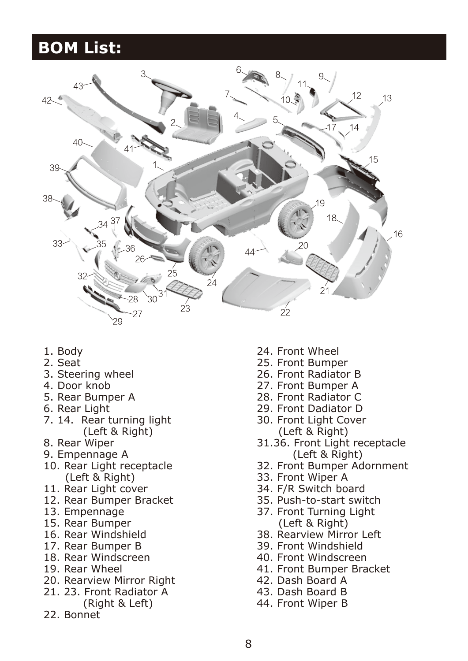#### **BOM List:**



- 1. Body
- 2. Seat
- 3. Steering wheel
- 4. Door knob
- 5. Rear Bumper A
- 6. Rear Light
- 7. 14. Rear turning light (Left & Right)
- 8. Rear Wiper
- 9. Empennage A
- 10. Rear Light receptacle (Left & Right)
- 11. Rear Light cover
- 12. Rear Bumper Bracket
- 13. Empennage
- 15. Rear Bumper
- 16. Rear Windshield
- 17. Rear Bumper B
- 18. Rear Windscreen
- 19. Rear Wheel
- 20. Rearview Mirror Right
- 21. 23. Front Radiator A (Right & Left)
- 22. Bonnet
- 24. Front Wheel
- 25. Front Bumper
- 26. Front Radiator B
- 27. Front Bumper A
- 28. Front Radiator C
- 29. Front Dadiator D
- 30. Front Light Cover (Left & Right)
- 31.36. Front Light receptacle (Left & Right)
- 32. Front Bumper Adornment
- 33. Front Wiper A
- 34. F/R Switch board
- 35. Push-to-start switch
- 37. Front Turning Light (Left & Right)
- 38. Rearview Mirror Left
- 39. Front Windshield
- 40. Front Windscreen
- 41. Front Bumper Bracket
- 42. Dash Board A
- 43. Dash Board B
- 44. Front Wiper B